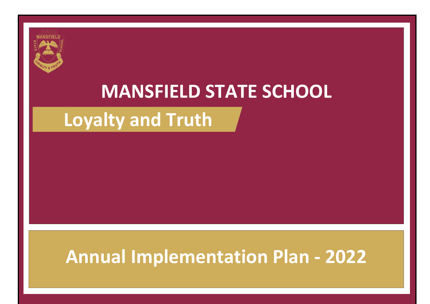# **MANSFIELD STATE SCHOOL**

### **Loyalty and Truth**

## **Annual Implementation Plan - 2022**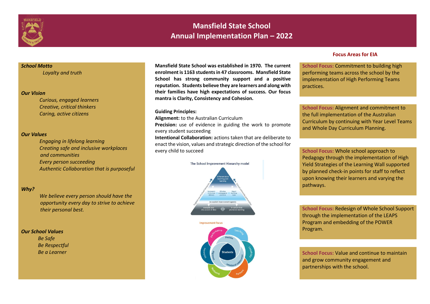

### **Mansfield State School Annual Implementation Plan – 2022**

#### *School Motto*

 *Loyalty and truth*

#### *Our Vision*

 *Curious, engaged learners Creative, critical thinkers Caring, active citizens* 

#### *Our Values*

*Engaging in lifelong learning Creating safe and inclusive workplaces and communities* 

*Every person succeeding*

*Authentic Collaboration that is purposeful*

#### *Why?*

*We believe every person should have the opportunity every day to strive to achieve their personal best.* 

#### *Our School Values*

 *Be Safe Be Respectful Be a Learner*

**Mansfield State School was established in 1970. The current enrolment is 1163 students in 47 classrooms. Mansfield State School has strong community support and a positive reputation. Students believe they are learners and along with their families have high expectations of success. Our focus mantra is Clarity, Consistency and Cohesion.**

#### **Guiding Principles:**

**Alignment:** to the Australian Curriculum

**Precision:** use of evidence in guiding the work to promote every student succeeding

**Intentional Collaboration:** actions taken that are deliberate to enact the vision, values and strategic direction of the school for every child to succeed





#### **Focus Areas for EIA**

School Focus: Commitment to building high performing teams across the school by the implementation of High Performing Teams practices.

**School Focus:** Alignment and commitment to the full implementation of the Australian Curriculum by continuing with Year Level Teams and Whole Day Curriculum Planning.

**School Focus:** Whole school approach to Pedagogy through the implementation of High Yield Strategies of the Learning Wall supported by planned check-in points for staff to reflect upon knowing their learners and varying the pathways.

**School Focus:** Redesign of Whole School Support through the implementation of the LEAPS Program and embedding of the POWER Program.

**School Focus:** Value and continue to maintain and grow community engagement and partnerships with the school.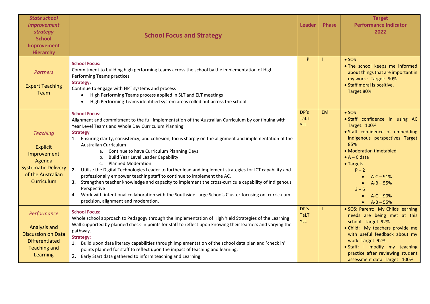| <b>State school</b><br><i>improvement</i><br>strategy<br><b>School</b><br>Improvement<br><b>Hierarchy</b>                    | <b>School Focus and Strategy</b>                                                                                                                                                                                                                                                                                                                                                                                                                                                                                                                                                                                                                                                                                                                                                                                                                                                                                                                                      | Leader                            | <b>Phase</b> | <b>Target</b><br><b>Performance Indicator</b><br>2022                                                                                                                                                                                                                                                         |
|------------------------------------------------------------------------------------------------------------------------------|-----------------------------------------------------------------------------------------------------------------------------------------------------------------------------------------------------------------------------------------------------------------------------------------------------------------------------------------------------------------------------------------------------------------------------------------------------------------------------------------------------------------------------------------------------------------------------------------------------------------------------------------------------------------------------------------------------------------------------------------------------------------------------------------------------------------------------------------------------------------------------------------------------------------------------------------------------------------------|-----------------------------------|--------------|---------------------------------------------------------------------------------------------------------------------------------------------------------------------------------------------------------------------------------------------------------------------------------------------------------------|
| <b>Partners</b><br><b>Expert Teaching</b><br>Team                                                                            | <b>School Focus:</b><br>Commitment to building high performing teams across the school by the implementation of High<br><b>Performing Teams practices</b><br><b>Strategy:</b><br>Continue to engage with HPT systems and process<br>High Performing Teams process applied in SLT and ELT meetings<br>$\bullet$<br>High Performing Teams identified system areas rolled out across the school<br>$\bullet$                                                                                                                                                                                                                                                                                                                                                                                                                                                                                                                                                             | P                                 |              | $\bullet$ SOS<br>. The school keeps me informed<br>about things that are important in<br>my work: Target: 90%<br>• Staff moral is positive.<br>Target:80%                                                                                                                                                     |
| <b>Teaching</b><br><b>Explicit</b><br>Improvement<br>Agenda<br><b>Systematic Delivery</b><br>of the Australian<br>Curriculum | <b>School Focus:</b><br>Alignment and commitment to the full implementation of the Australian Curriculum by continuing with<br>Year Level Teams and Whole Day Curriculum Planning<br><b>Strategy</b><br>1. Ensuring clarity, consistency, and cohesion, focus sharply on the alignment and implementation of the<br><b>Australian Curriculum</b><br>a. Continue to have Curriculum Planning Days<br><b>Build Year Level Leader Capability</b><br>b.<br><b>Planned Moderation</b><br>C <sub>1</sub><br>2. Utilise the Digital Technologies Leader to further lead and implement strategies for ICT capability and<br>professionally empower teaching staff to continue to implement the AC.<br>3. Strengthen teacher knowledge and capacity to implement the cross-curricula capability of Indigenous<br>Perspective<br>4. Work with intentional collaboration with the Southside Large Schools Cluster focusing on curriculum<br>precision, alignment and moderation. | DP's<br><b>TaLT</b><br><b>YLL</b> | <b>EM</b>    | $\bullet$ SOS<br>· Staff confidence in using AC<br><b>Target: 100%</b><br>· Staff confidence of embedding<br>indigenous perspectives Target<br>85%<br>• Moderation timetabled<br>$\bullet$ A – C data<br>• Targets:<br>$P - 2$<br>$A-C - 91%$<br>$A - B - 55%$<br>$3 - 6$<br>$A - C - 90%$<br>• $A - B - 55%$ |
| Performance<br><b>Analysis and</b><br><b>Discussion on Data</b><br><b>Differentiated</b><br><b>Teaching and</b><br>Learning  | <b>School Focus:</b><br>Whole school approach to Pedagogy through the implementation of High Yield Strategies of the Learning<br>Wall supported by planned check-in points for staff to reflect upon knowing their learners and varying the<br>pathway.<br><b>Strategy:</b><br>1. Build upon data literacy capabilities through implementation of the school data plan and 'check in'<br>points planned for staff to reflect upon the impact of teaching and learning.<br>2. Early Start data gathered to inform teaching and Learning                                                                                                                                                                                                                                                                                                                                                                                                                                | DP's<br><b>TaLT</b><br><b>YLL</b> |              | · SOS: Parent: My Childs learning<br>needs are being met at this<br>school. Target: 92%<br>· Child: My teachers provide me<br>with useful feedback about my<br>work. Target: 92%<br>· Staff: I modify my teaching<br>practice after reviewing student<br>assessment data: Target: 100%                        |